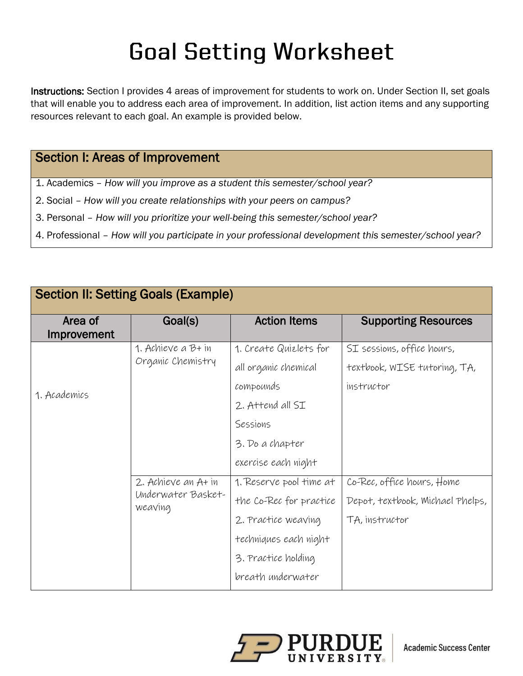## **Goal Setting Worksheet**

Instructions: Section I provides 4 areas of improvement for students to work on. Under Section II, set goals that will enable you to address each area of improvement. In addition, list action items and any supporting resources relevant to each goal. An example is provided below.

## Section I: Areas of Improvement

- 1. Academics *How will you improve as a student this semester/school year?*
- 2. Social *How will you create relationships with your peers on campus?*
- 3. Personal *How will you prioritize your well-being this semester/school year?*
- 4. Professional *How will you participate in your professional development this semester/school year?*

| <b>Section II: Setting Goals (Example)</b> |                                                      |                                                                                                                                                |                                                                                  |  |  |
|--------------------------------------------|------------------------------------------------------|------------------------------------------------------------------------------------------------------------------------------------------------|----------------------------------------------------------------------------------|--|--|
| Area of<br>Improvement                     | Goal(s)                                              | <b>Action Items</b>                                                                                                                            | <b>Supporting Resources</b>                                                      |  |  |
| 1. Academics                               | 1. Achieve a B+ in<br>Organic Chemistry              | 1. Create Quizlets for<br>all organic chemical<br>compounds<br>2. Attend all SI<br>Sessions<br>3. Do a chapter<br>exercise each night          | SI sessions, office hours,<br>textbook, WISE tutoring, TA,<br>instructor         |  |  |
|                                            | 2. Achieve an A+ in<br>Underwater Basket-<br>weaving | 1. Reserve pool time at<br>the Co-Rec for practice<br>2. Practice weaving<br>techniques each night<br>3. Practice holding<br>breath underwater | Co-Rec, office hours, Home<br>Depot, textbook, Michael Phelps,<br>TA, instructor |  |  |